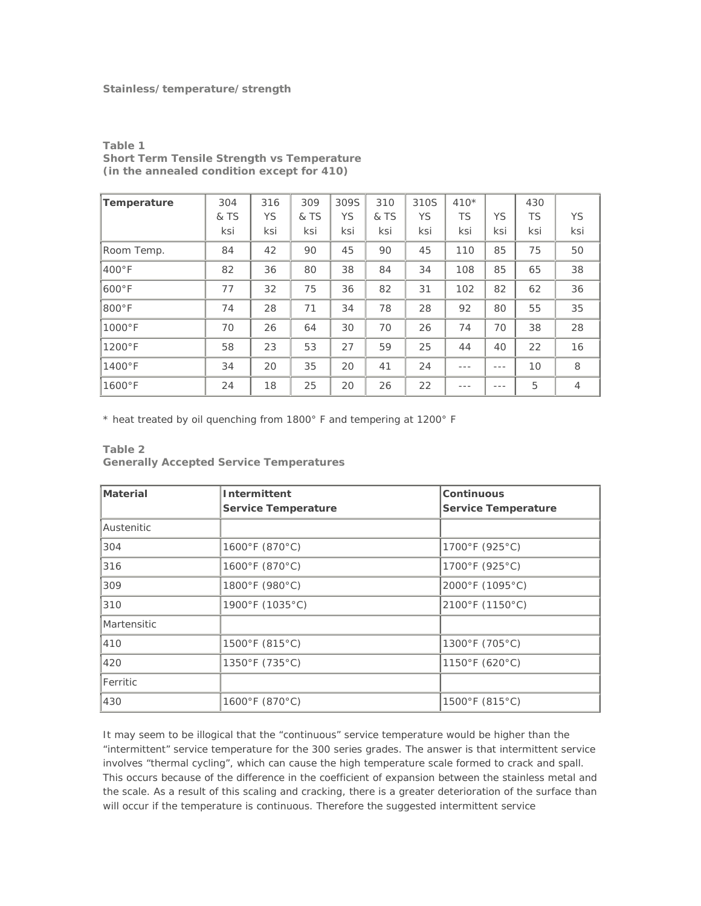## **Stainless/temperature/strength**

| Temperature      | 304  | 316       | 309  | 309S | 310  | 310S | $410*$ |     | 430       |                |
|------------------|------|-----------|------|------|------|------|--------|-----|-----------|----------------|
|                  | & TS | <b>YS</b> | & TS | YS   | & TS | YS   | TS     | YS  | <b>TS</b> | <b>YS</b>      |
|                  | ksi  | ksi       | ksi  | ksi  | ksi  | ksi  | ksi    | ksi | ksi       | ksi            |
| Room Temp.       | 84   | 42        | 90   | 45   | 90   | 45   | 110    | 85  | 75        | 50             |
| $400^{\circ}$ F  | 82   | 36        | 80   | 38   | 84   | 34   | 108    | 85  | 65        | 38             |
| $600°$ F         | 77   | 32        | 75   | 36   | 82   | 31   | 102    | 82  | 62        | 36             |
| 800°F            | 74   | 28        | 71   | 34   | 78   | 28   | 92     | 80  | 55        | 35             |
| $1000^{\circ}$ F | 70   | 26        | 64   | 30   | 70   | 26   | 74     | 70  | 38        | 28             |
| $1200^{\circ}$ F | 58   | 23        | 53   | 27   | 59   | 25   | 44     | 40  | 22        | 16             |
| $1400^{\circ}$ F | 34   | 20        | 35   | 20   | 41   | 24   |        |     | 10        | 8              |
| $1600^{\circ}$ F | 24   | 18        | 25   | 20   | 26   | 22   |        | --- | 5         | $\overline{4}$ |

**Table 1 Short Term Tensile Strength vs Temperature (in the annealed condition except for 410)** 

\* heat treated by oil quenching from 1800° F and tempering at 1200° F

## **Table 2**

**Generally Accepted Service Temperatures** 

| <b>Material</b>    | Intermittent<br><b>Service Temperature</b> | Continuous<br><b>Service Temperature</b> |  |  |  |
|--------------------|--------------------------------------------|------------------------------------------|--|--|--|
| Austenitic         |                                            |                                          |  |  |  |
| 304                | 1600°F (870°C)                             | 1700°F (925°C)                           |  |  |  |
| 316                | 1600°F (870°C)                             | 1700°F (925°C)                           |  |  |  |
| 309                | 1800°F (980°C)                             | 2000°F (1095°C)                          |  |  |  |
| 310                | 1900°F (1035°C)                            | 2100°F (1150°C)                          |  |  |  |
| <b>Martensitic</b> |                                            |                                          |  |  |  |
| 410                | 1500°F (815°C)                             | 1300°F (705°C)                           |  |  |  |
| 420                | 1350°F (735°C)                             | 1150°F (620°C)                           |  |  |  |
| Ferritic           |                                            |                                          |  |  |  |
| 430                | 1600°F (870°C)                             | 1500°F (815°C)                           |  |  |  |

It may seem to be illogical that the "continuous" service temperature would be higher than the "intermittent" service temperature for the 300 series grades. The answer is that intermittent service involves "thermal cycling", which can cause the high temperature scale formed to crack and spall. This occurs because of the difference in the coefficient of expansion between the stainless metal and the scale. As a result of this scaling and cracking, there is a greater deterioration of the surface than will occur if the temperature is continuous. Therefore the suggested intermittent service